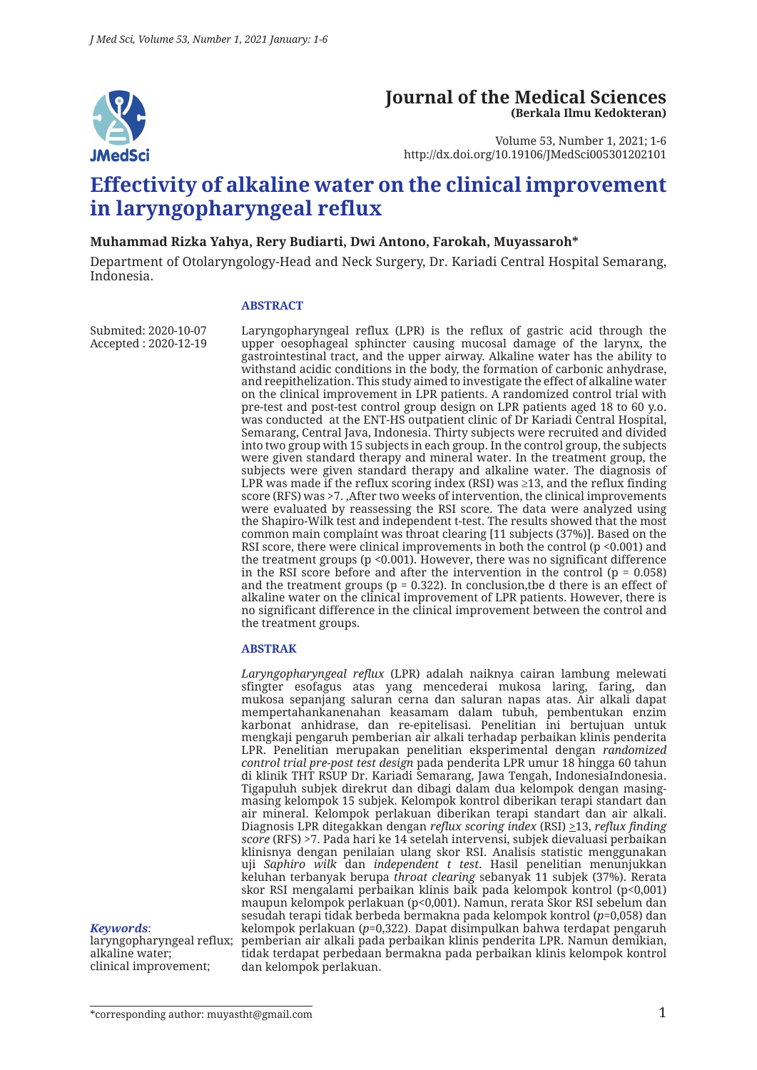

### **Journal of the Medical Sciences (Berkala Ilmu Kedokteran)**

Volume 53, Number 1, 2021; 1-6 http://dx.doi.org/10.19106/JMedSci005301202101

# **Effectivity of alkaline water on the clinical improvement in laryngopharyngeal reflux**

#### **Muhammad Rizka Yahya, Rery Budiarti, Dwi Antono, Farokah, Muyassaroh\***

Department of Otolaryngology-Head and Neck Surgery, Dr. Kariadi Central Hospital Semarang, Indonesia.

#### **ABSTRACT**

Submited: 2020-10-07 Accepted : 2020-12-19 Laryngopharyngeal reflux (LPR) is the reflux of gastric acid through the upper oesophageal sphincter causing mucosal damage of the larynx, the gastrointestinal tract, and the upper airway. Alkaline water has the ability to withstand acidic conditions in the body, the formation of carbonic anhydrase, and reepithelization. This study aimed to investigate the effect of alkaline water on the clinical improvement in LPR patients. A randomized control trial with pre-test and post-test control group design on LPR patients aged 18 to 60 y.o. was conducted at the ENT-HS outpatient clinic of Dr Kariadi Central Hospital, Semarang, Central Java, Indonesia. Thirty subjects were recruited and divided into two group with 15 subjects in each group. In the control group, the subjects were given standard therapy and mineral water. In the treatment group, the subjects were given standard therapy and alkaline water. The diagnosis of LPR was made if the reflux scoring index (RSI) was  $\geq$ 13, and the reflux finding score (RFS) was >7. ,After two weeks of intervention, the clinical improvements were evaluated by reassessing the RSI score. The data were analyzed using the Shapiro-Wilk test and independent t-test. The results showed that the most common main complaint was throat clearing [11 subjects (37%)]. Based on the RSI score, there were clinical improvements in both the control (p <0.001) and the treatment groups (p <0.001). However, there was no significant difference in the RSI score before and after the intervention in the control ( $p = 0.058$ ) and the treatment groups ( $p = 0.322$ ). In conclusion, the d there is an effect of alkaline water on the clinical improvement of LPR patients. However, there is no significant difference in the clinical improvement between the control and the treatment groups.

#### **ABSTRAK**

*Laryngopharyngeal reflux* (LPR) adalah naiknya cairan lambung melewati sfingter esofagus atas yang mencederai mukosa laring, faring, dan mukosa sepanjang saluran cerna dan saluran napas atas. Air alkali dapat mempertahankanenahan keasamam dalam tubuh, pembentukan enzim karbonat anhidrase, dan re-epitelisasi. Penelitian ini bertujuan untuk mengkaji pengaruh pemberian air alkali terhadap perbaikan klinis penderita LPR. Penelitian merupakan penelitian eksperimental dengan *randomized control trial pre-post test design* pada penderita LPR umur 18 hingga 60 tahun di klinik THT RSUP Dr. Kariadi Semarang, Jawa Tengah, IndonesiaIndonesia. Tigapuluh subjek direkrut dan dibagi dalam dua kelompok dengan masingmasing kelompok 15 subjek. Kelompok kontrol diberikan terapi standart dan air mineral. Kelompok perlakuan diberikan terapi standart dan air alkali. Diagnosis LPR ditegakkan dengan *reflux scoring index* (RSI) >13, *reflux finding score* (RFS) >7. Pada hari ke 14 setelah intervensi, subjek dievaluasi perbaikan klinisnya dengan penilaian ulang skor RSI. Analisis statistic menggunakan uji *Saphiro wilk* dan *independent t test*. Hasil penelitian menunjukkan keluhan terbanyak berupa *throat clearing* sebanyak 11 subjek (37%). Rerata skor RSI mengalami perbaikan klinis baik pada kelompok kontrol (p<0,001) maupun kelompok perlakuan (p<0,001). Namun, rerata Skor RSI sebelum dan sesudah terapi tidak berbeda bermakna pada kelompok kontrol (*p*=0,058) dan kelompok perlakuan (*p*=0,322). Dapat disimpulkan bahwa terdapat pengaruh pemberian air alkali pada perbaikan klinis penderita LPR. Namun demikian, tidak terdapat perbedaan bermakna pada perbaikan klinis kelompok kontrol dan kelompok perlakuan.

#### *Keywords*:

laryngopharyngeal reflux; alkaline water; clinical improvement;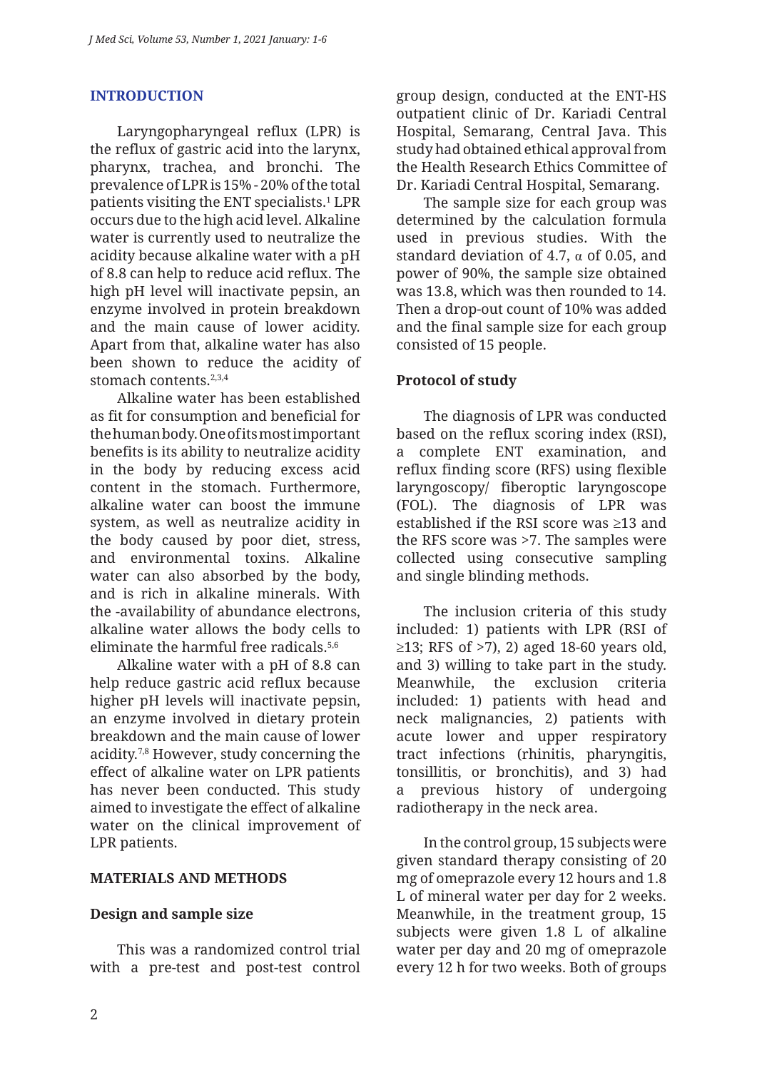### **INTRODUCTION**

Laryngopharyngeal reflux (LPR) is the reflux of gastric acid into the larynx, pharynx, trachea, and bronchi. The prevalence of LPR is 15% - 20% of the total patients visiting the ENT specialists.1 LPR occurs due to the high acid level. Alkaline water is currently used to neutralize the acidity because alkaline water with a pH of 8.8 can help to reduce acid reflux. The high pH level will inactivate pepsin, an enzyme involved in protein breakdown and the main cause of lower acidity. Apart from that, alkaline water has also been shown to reduce the acidity of stomach contents.<sup>2,3,4</sup>

Alkaline water has been established as fit for consumption and beneficial for the human body. One of its most important benefits is its ability to neutralize acidity in the body by reducing excess acid content in the stomach. Furthermore, alkaline water can boost the immune system, as well as neutralize acidity in the body caused by poor diet, stress, and environmental toxins. Alkaline water can also absorbed by the body, and is rich in alkaline minerals. With the -availability of abundance electrons, alkaline water allows the body cells to eliminate the harmful free radicals.5,6

Alkaline water with a pH of 8.8 can help reduce gastric acid reflux because higher pH levels will inactivate pepsin, an enzyme involved in dietary protein breakdown and the main cause of lower acidity.7,8 However, study concerning the effect of alkaline water on LPR patients has never been conducted. This study aimed to investigate the effect of alkaline water on the clinical improvement of LPR patients.

### **MATERIALS AND METHODS**

### **Design and sample size**

This was a randomized control trial with a pre-test and post-test control group design, conducted at the ENT-HS outpatient clinic of Dr. Kariadi Central Hospital, Semarang, Central Java. This study had obtained ethical approval from the Health Research Ethics Committee of Dr. Kariadi Central Hospital, Semarang.

The sample size for each group was determined by the calculation formula used in previous studies. With the standard deviation of 4.7,  $\alpha$  of 0.05, and power of 90%, the sample size obtained was 13.8, which was then rounded to 14. Then a drop-out count of 10% was added and the final sample size for each group consisted of 15 people.

### **Protocol of study**

The diagnosis of LPR was conducted based on the reflux scoring index (RSI), a complete ENT examination, and reflux finding score (RFS) using flexible laryngoscopy/ fiberoptic laryngoscope (FOL). The diagnosis of LPR was established if the RSI score was ≥13 and the RFS score was >7. The samples were collected using consecutive sampling and single blinding methods.

The inclusion criteria of this study included: 1) patients with LPR (RSI of  $\geq$ 13; RFS of  $>$ 7), 2) aged 18-60 years old, and 3) willing to take part in the study. Meanwhile, the exclusion criteria included: 1) patients with head and neck malignancies, 2) patients with acute lower and upper respiratory tract infections (rhinitis, pharyngitis, tonsillitis, or bronchitis), and 3) had a previous history of undergoing radiotherapy in the neck area.

In the control group, 15 subjects were given standard therapy consisting of 20 mg of omeprazole every 12 hours and 1.8 L of mineral water per day for 2 weeks. Meanwhile, in the treatment group, 15 subjects were given 1.8 L of alkaline water per day and 20 mg of omeprazole every 12 h for two weeks. Both of groups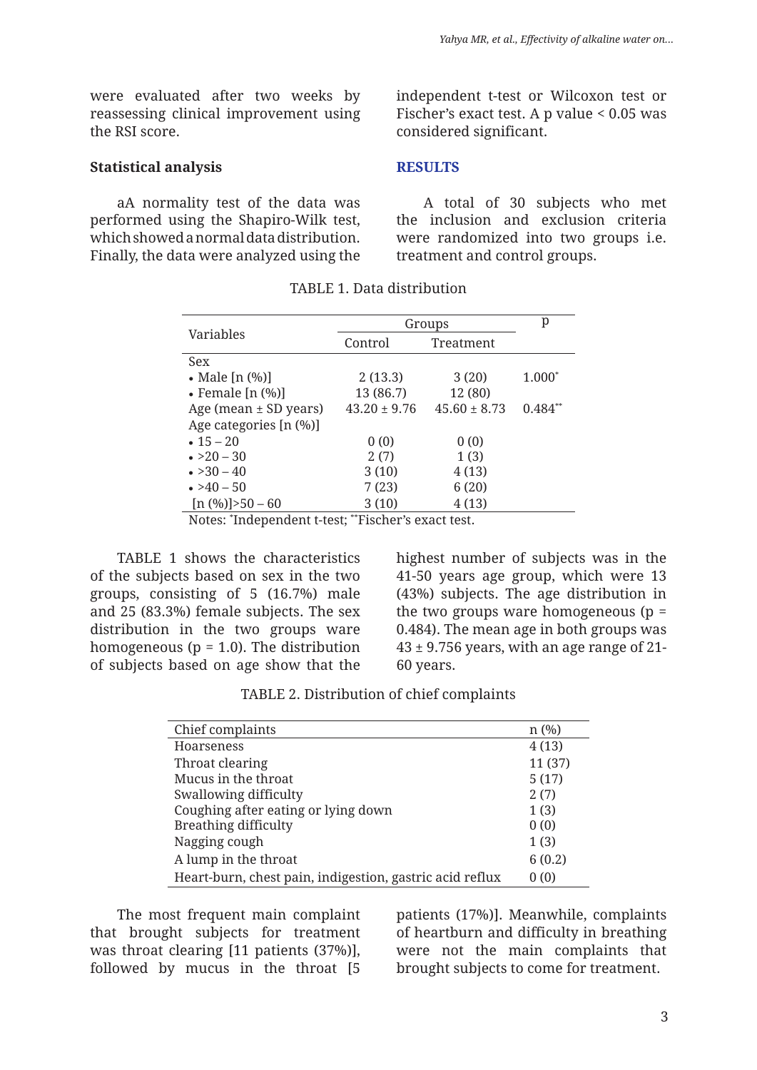were evaluated after two weeks by reassessing clinical improvement using the RSI score.

#### **Statistical analysis**

aA normality test of the data was performed using the Shapiro-Wilk test, which showed a normal data distribution. Finally, the data were analyzed using the independent t-test or Wilcoxon test or Fischer's exact test. A p value < 0.05 was considered significant.

#### **RESULTS**

A total of 30 subjects who met the inclusion and exclusion criteria were randomized into two groups i.e. treatment and control groups.

|                              | Groups           |                  | p         |
|------------------------------|------------------|------------------|-----------|
| Variables                    | Control          | Treatment        |           |
| Sex                          |                  |                  |           |
| • Male $[n (%)]$             | 2(13.3)          | 3(20)            | $1.000*$  |
| $\bullet$ Female [n $(\%)$ ] | 13 (86.7)        | 12 (80)          |           |
| Age (mean $\pm$ SD years)    | $43.20 \pm 9.76$ | $45.60 \pm 8.73$ | $0.484**$ |
| Age categories [n (%)]       |                  |                  |           |
| $\cdot$ 15 – 20              | 0(0)             | 0(0)             |           |
| $\cdot$ >20 – 30             | 2(7)             | 1(3)             |           |
| $\bullet > 30 - 40$          | 3(10)            | 4(13)            |           |
| $\cdot$ >40 – 50             | 7(23)            | 6(20)            |           |
| $[n (%)] > 50 - 60$          | 3(10)            | 4(13)            |           |

TABLE 1. Data distribution

Notes: \* Independent t-test; \*\*Fischer's exact test.

TABLE 1 shows the characteristics of the subjects based on sex in the two groups, consisting of 5 (16.7%) male and  $25$  (83.3%) female subjects. The sex distribution in the two groups ware homogeneous ( $p = 1.0$ ). The distribution of subjects based on age show that the highest number of subjects was in the 41-50 years age group, which were 13 (43%) subjects. The age distribution in the two groups ware homogeneous ( $p =$ 0.484). The mean age in both groups was  $43 \pm 9.756$  years, with an age range of 21-60 years.

| TABLE 2. Distribution of chief complaints |  |  |
|-------------------------------------------|--|--|
|-------------------------------------------|--|--|

| Chief complaints                                         | $n$ (%) |
|----------------------------------------------------------|---------|
| <b>Hoarseness</b>                                        | 4(13)   |
| Throat clearing                                          | 11(37)  |
| Mucus in the throat                                      | 5(17)   |
| Swallowing difficulty                                    | 2(7)    |
| Coughing after eating or lying down                      | 1(3)    |
| <b>Breathing difficulty</b>                              | 0(0)    |
| Nagging cough                                            | 1(3)    |
| A lump in the throat                                     | 6(0.2)  |
| Heart-burn, chest pain, indigestion, gastric acid reflux | 0(0)    |

The most frequent main complaint that brought subjects for treatment was throat clearing [11 patients (37%)], followed by mucus in the throat [5

patients (17%)]. Meanwhile, complaints of heartburn and difficulty in breathing were not the main complaints that brought subjects to come for treatment.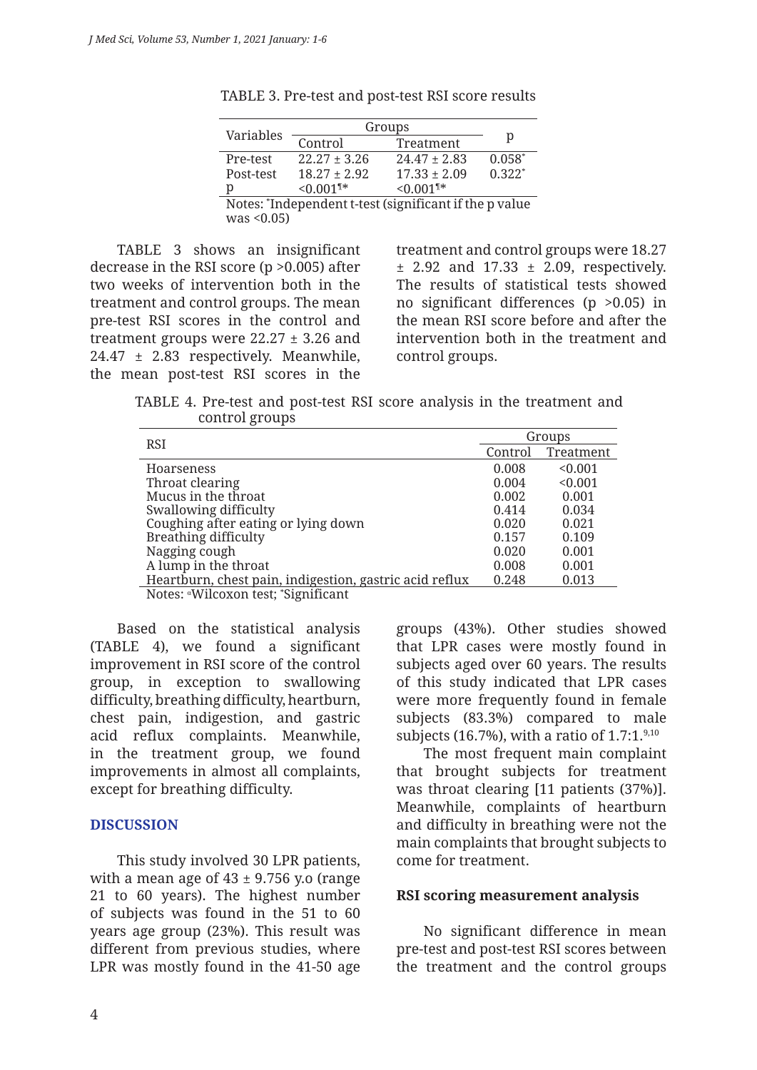|                                                        | Groups                  |                         |          |
|--------------------------------------------------------|-------------------------|-------------------------|----------|
| Variables                                              | Control                 | Treatment               | р        |
| Pre-test                                               | $22.27 + 3.26$          | $24.47 \pm 2.83$        | $0.058*$ |
| Post-test                                              | $18.27 \pm 2.92$        | $17.33 + 2.09$          | $0.322*$ |
| р                                                      | $< 0.001$ <sup>1*</sup> | $< 0.001$ <sup>1*</sup> |          |
| Notes: *Independent t-test (significant if the p yalue |                         |                         |          |

TABLE 3. Pre-test and post-test RSI score results

Notes: \* Independent t-test (significant if the p value  $was < 0.05$ )

TABLE 3 shows an insignificant decrease in the RSI score (p >0.005) after two weeks of intervention both in the treatment and control groups. The mean pre-test RSI scores in the control and treatment groups were  $22.27 \pm 3.26$  and 24.47 ± 2.83 respectively. Meanwhile, the mean post-test RSI scores in the

treatment and control groups were 18.27  $\pm$  2.92 and 17.33  $\pm$  2.09, respectively. The results of statistical tests showed no significant differences  $(p > 0.05)$  in the mean RSI score before and after the intervention both in the treatment and control groups.

TABLE 4. Pre-test and post-test RSI score analysis in the treatment and control groups

| <b>RSI</b>                                              | Groups  |           |
|---------------------------------------------------------|---------|-----------|
|                                                         | Control | Treatment |
| <b>Hoarseness</b>                                       | 0.008   | < 0.001   |
| Throat clearing                                         | 0.004   | < 0.001   |
| Mucus in the throat                                     | 0.002   | 0.001     |
| Swallowing difficulty                                   | 0.414   | 0.034     |
| Coughing after eating or lying down                     | 0.020   | 0.021     |
| Breathing difficulty                                    | 0.157   | 0.109     |
| Nagging cough                                           | 0.020   | 0.001     |
| A lump in the throat                                    | 0.008   | 0.001     |
| Heartburn, chest pain, indigestion, gastric acid reflux | 0.248   | 0.013     |
| Notes: "Wilcoxon test; "Significant                     |         |           |

Based on the statistical analysis (TABLE 4), we found a significant improvement in RSI score of the control group, in exception to swallowing difficulty, breathing difficulty, heartburn, chest pain, indigestion, and gastric acid reflux complaints. Meanwhile, in the treatment group, we found improvements in almost all complaints, except for breathing difficulty.

#### **DISCUSSION**

This study involved 30 LPR patients, with a mean age of  $43 \pm 9.756$  y.o (range 21 to 60 years). The highest number of subjects was found in the 51 to 60 years age group (23%). This result was different from previous studies, where LPR was mostly found in the 41-50 age

groups (43%). Other studies showed that LPR cases were mostly found in subjects aged over 60 years. The results of this study indicated that LPR cases were more frequently found in female subjects (83.3%) compared to male subjects (16.7%), with a ratio of  $1.7:1$ <sup>9,10</sup>

The most frequent main complaint that brought subjects for treatment was throat clearing [11 patients (37%)]. Meanwhile, complaints of heartburn and difficulty in breathing were not the main complaints that brought subjects to come for treatment.

#### **RSI scoring measurement analysis**

No significant difference in mean pre-test and post-test RSI scores between the treatment and the control groups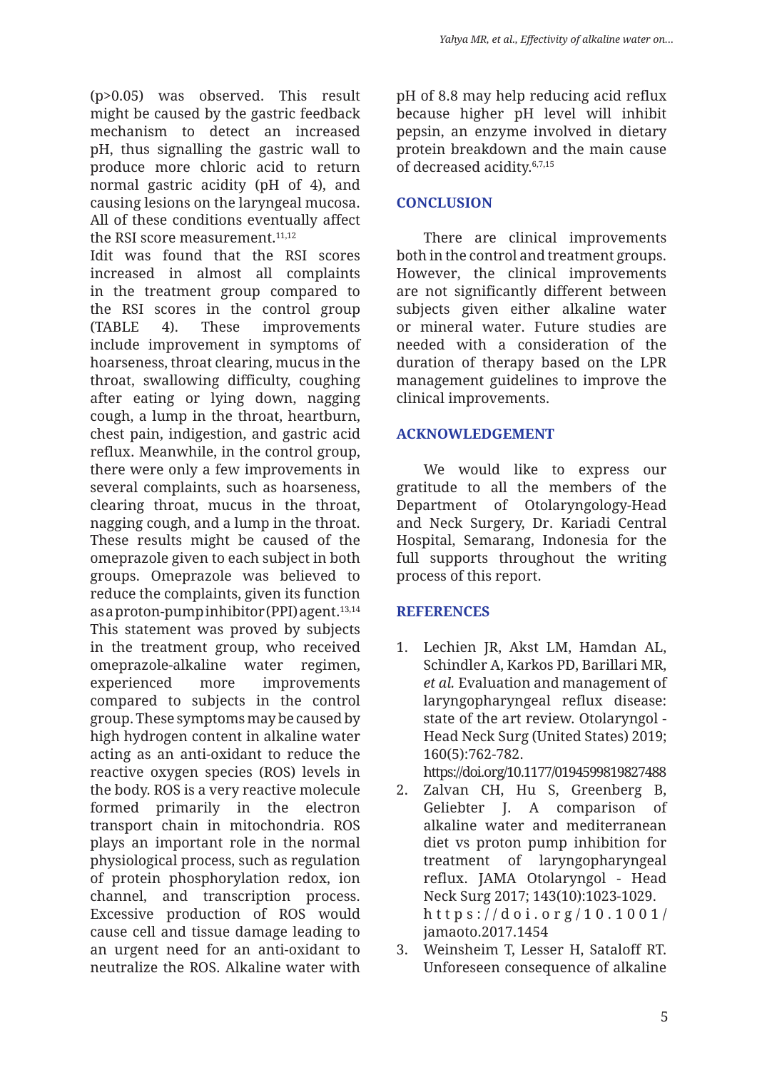(p>0.05) was observed. This result might be caused by the gastric feedback mechanism to detect an increased pH, thus signalling the gastric wall to produce more chloric acid to return normal gastric acidity (pH of 4), and causing lesions on the laryngeal mucosa. All of these conditions eventually affect the RSI score measurement.<sup>11,12</sup>

Idit was found that the RSI scores increased in almost all complaints in the treatment group compared to the RSI scores in the control group (TABLE 4). These improvements include improvement in symptoms of hoarseness, throat clearing, mucus in the throat, swallowing difficulty, coughing after eating or lying down, nagging cough, a lump in the throat, heartburn, chest pain, indigestion, and gastric acid reflux. Meanwhile, in the control group, there were only a few improvements in several complaints, such as hoarseness, clearing throat, mucus in the throat, nagging cough, and a lump in the throat. These results might be caused of the omeprazole given to each subject in both groups. Omeprazole was believed to reduce the complaints, given its function as a proton-pump inhibitor (PPI) agent.<sup>13,14</sup> This statement was proved by subjects in the treatment group, who received omeprazole-alkaline water regimen, experienced more improvements compared to subjects in the control group. These symptoms may be caused by high hydrogen content in alkaline water acting as an anti-oxidant to reduce the reactive oxygen species (ROS) levels in the body. ROS is a very reactive molecule formed primarily in the electron transport chain in mitochondria. ROS plays an important role in the normal physiological process, such as regulation of protein phosphorylation redox, ion channel, and transcription process. Excessive production of ROS would cause cell and tissue damage leading to an urgent need for an anti-oxidant to neutralize the ROS. Alkaline water with

pH of 8.8 may help reducing acid reflux because higher pH level will inhibit pepsin, an enzyme involved in dietary protein breakdown and the main cause of decreased acidity.6,7,15

## **CONCLUSION**

There are clinical improvements both in the control and treatment groups. However, the clinical improvements are not significantly different between subjects given either alkaline water or mineral water. Future studies are needed with a consideration of the duration of therapy based on the LPR management guidelines to improve the clinical improvements.

# **ACKNOWLEDGEMENT**

We would like to express our gratitude to all the members of the Department of Otolaryngology-Head and Neck Surgery, Dr. Kariadi Central Hospital, Semarang, Indonesia for the full supports throughout the writing process of this report.

# **REFERENCES**

- 1. Lechien JR, Akst LM, Hamdan AL, Schindler A, Karkos PD, Barillari MR, *et al.* Evaluation and management of laryngopharyngeal reflux disease: state of the art review. Otolaryngol - Head Neck Surg (United States) 2019; 160(5):762-782. https://doi.org/10.1177/0194599819827488
- 2. Zalvan CH, Hu S, Greenberg B, Geliebter J. A comparison of alkaline water and mediterranean diet vs proton pump inhibition for treatment of laryngopharyngeal reflux. JAMA Otolaryngol - Head Neck Surg 2017; 143(10):1023-1029. https://doi.org/10.1001/ jamaoto.2017.1454
- 3. Weinsheim T, Lesser H, Sataloff RT. Unforeseen consequence of alkaline